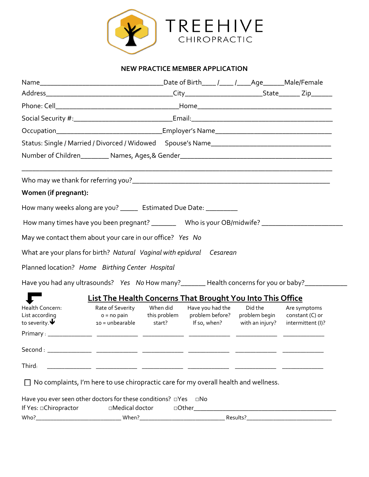

#### **NEW PRACTICE MEMBER APPLICATION**

|                                                                   |                                                                                                                      |                                     | Date of Birth____ /____ /____Age_______Male/Female |                                                      |
|-------------------------------------------------------------------|----------------------------------------------------------------------------------------------------------------------|-------------------------------------|----------------------------------------------------|------------------------------------------------------|
|                                                                   |                                                                                                                      |                                     |                                                    |                                                      |
|                                                                   |                                                                                                                      |                                     |                                                    |                                                      |
|                                                                   |                                                                                                                      |                                     |                                                    |                                                      |
|                                                                   |                                                                                                                      |                                     |                                                    |                                                      |
|                                                                   | Status: Single / Married / Divorced / Widowed Spouse's Name                                                          |                                     |                                                    |                                                      |
|                                                                   |                                                                                                                      |                                     |                                                    |                                                      |
|                                                                   |                                                                                                                      |                                     |                                                    |                                                      |
| Women (if pregnant):                                              |                                                                                                                      |                                     |                                                    |                                                      |
|                                                                   | How many weeks along are you? _____ Estimated Due Date: _________                                                    |                                     |                                                    |                                                      |
|                                                                   | How many times have you been pregnant? ____________ Who is your OB/midwife? ________________________                 |                                     |                                                    |                                                      |
|                                                                   | May we contact them about your care in our office? Yes No                                                            |                                     |                                                    |                                                      |
|                                                                   | What are your plans for birth? Natural Vaginal with epidural Cesarean                                                |                                     |                                                    |                                                      |
|                                                                   | Planned location? Home Birthing Center Hospital                                                                      |                                     |                                                    |                                                      |
|                                                                   | Have you had any ultrasounds? Yes No How many? _______ Health concerns for you or baby? _________                    |                                     |                                                    |                                                      |
|                                                                   | <b>List The Health Concerns That Brought You Into This Office</b>                                                    |                                     |                                                    |                                                      |
| Health Concern:<br>List according<br>to severity. $\blacklozenge$ | Rate of Severity When did<br>o = no pain this problem<br>10 = unbearable start? If so, when?                         | Have you had the<br>problem before? | Did the<br>problem begin<br>with an injury?        | Are symptoms<br>constant (C) or<br>intermittent (I)? |
|                                                                   |                                                                                                                      |                                     |                                                    |                                                      |
|                                                                   |                                                                                                                      |                                     |                                                    |                                                      |
| Third:                                                            | <u> 1999 - 1999 - 1999 - 1999 - 1999 - 1999 - 1999 - 1999 - 1999 - 1999 - 1999 - 1999 - 1999 - 1999 - 1999 - 199</u> |                                     |                                                    |                                                      |
|                                                                   | $\Box$ No complaints, I'm here to use chiropractic care for my overall health and wellness.                          |                                     |                                                    |                                                      |
| If Yes: Ohiropractor                                              | Have you ever seen other doctors for these conditions? $\Box$ Yes $\Box$ No<br>$\square$ Medical doctor              |                                     |                                                    |                                                      |
|                                                                   |                                                                                                                      |                                     |                                                    |                                                      |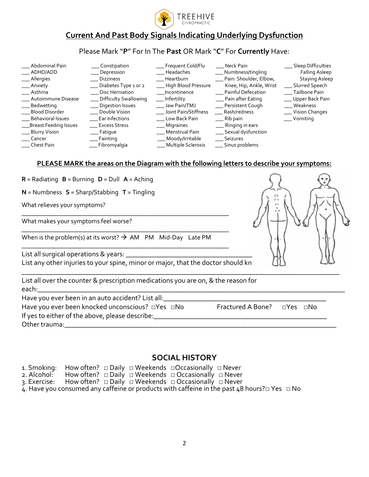

# **Current And Past Body Signals Indicating Underlying Dysfunction**

## Please Mark "**P**" For In The **Past** OR Mark "**C**" For **Currently** Have:

| Abdominal Pain<br>ADHD/ADD   | Constipation<br>Depression | Frequent Cold/Flu<br>Headaches | Neck Pain<br>Numbness/tingling | <b>Sleep Difficulties</b><br>Falling Asleep |
|------------------------------|----------------------------|--------------------------------|--------------------------------|---------------------------------------------|
| _Allergies                   | <b>Dizziness</b>           | Heartburn                      | Pain: Shoulder, Elbow,         | Staying Asleep                              |
| Anxiety                      | Diabetes Type 1 or 2       | High Blood Pressure            | Knee, Hip, Ankle, Wrist        | Slurred Speech                              |
| Asthma                       | <b>Disc Herniation</b>     | Incontinence                   | Painful Defecation             | Tailbone Pain                               |
| Autoimmune Disease           | Difficulty Swallowing      | Infertility                    | __ Pain after Eating           | Upper Back Pain                             |
| Bedwetting                   | <b>Digestion Issues</b>    | Jaw Pain/TMJ                   | Persistent Cough               | Weakness                                    |
| <b>Blood Disorder</b>        | Double Vision              | Joint Pain/Stiffness           | Rash/redness                   | Vision Changes                              |
| Behavioral Issues            | Ear Infections             | Low Back Pain                  | Rib pain                       | Vomiting                                    |
| <b>Breast Feeding Issues</b> | <b>Excess Stress</b>       | Migraines                      | Ringing in ears                |                                             |
| __ Blurry Vision             | Fatigue                    | Menstrual Pain                 | Sexual dysfunction             |                                             |
| Cancer                       | Fainting                   | __ Moody/Irritable             | <b>Seizures</b>                |                                             |
| Chest Pain                   | Fibromyalgia               | <b>Multiple Sclerosis</b>      | Sinus problems                 |                                             |

#### **PLEASE MARK the areas on the Diagram with the following letters to describe your symptoms:**

**R** = Radiating **B** = Burning **D** = Dull **A** = Aching

**N** = Numbness **S** = Sharp/Stabbing **T** = Tingling

What relieves your symptoms?

What makes your symptoms feel worse?

When is the problem(s) at its worst?  $\rightarrow$  AM PM Mid-Day Late PM

\_\_\_\_\_\_\_\_\_\_\_\_\_\_\_\_\_\_\_\_\_\_\_\_\_\_\_\_\_\_\_\_\_\_\_\_\_\_\_\_\_\_\_\_\_\_\_\_\_\_\_\_\_\_\_\_\_\_\_\_\_\_\_\_

\_\_\_\_\_\_\_\_\_\_\_\_\_\_\_\_\_\_\_\_\_\_\_\_\_\_\_\_\_\_\_\_\_\_\_\_\_\_\_\_\_\_\_\_\_\_\_\_\_\_\_\_\_\_\_\_\_\_\_\_\_\_\_\_

\_\_\_\_\_\_\_\_\_\_\_\_\_\_\_\_\_\_\_\_\_\_\_\_\_\_\_\_\_\_\_\_\_\_\_\_\_\_\_\_\_\_\_\_\_\_\_\_\_\_\_\_\_\_\_\_\_\_\_\_\_\_\_\_

List all surgical operations & years: \_\_\_\_\_\_\_\_\_\_\_\_\_\_\_\_\_\_\_\_\_\_\_\_\_\_\_\_\_\_\_\_\_\_\_\_\_\_\_\_\_\_\_\_\_\_\_\_\_\_\_\_\_\_\_\_\_\_

List any other injuries to your spine, minor or major, that the doctor should kn



List all over the counter & prescription medications you are on, & the reason for

each:\_\_\_\_\_\_\_\_\_\_\_\_\_\_\_\_\_\_\_\_\_\_\_\_\_\_\_\_\_\_\_\_\_\_\_\_\_\_\_\_\_\_\_\_\_\_\_\_\_\_\_\_\_\_\_\_\_\_\_\_\_\_\_\_\_\_\_\_\_\_\_\_\_\_\_\_\_\_\_\_\_\_\_\_\_\_\_ Have you ever been in an auto accident? List all:

Have you ever been knocked unconscious? □Yes □No Fractured A Bone? □Yes □No

If yes to either of the above, please describe: \_\_\_\_\_\_\_\_\_\_\_\_\_\_\_\_\_\_\_\_\_\_\_\_\_\_\_\_\_\_\_\_\_

Other trauma:\_\_\_\_\_\_\_\_\_\_\_\_\_\_\_\_\_\_\_\_\_\_\_\_\_\_\_\_\_\_\_\_\_\_\_\_\_\_\_\_\_\_\_\_\_\_\_\_\_\_\_\_\_\_\_\_\_\_\_\_\_\_\_\_\_\_\_\_\_\_\_\_\_\_\_\_\_

## **SOCIAL HISTORY**

\_\_\_\_\_\_\_\_\_\_\_\_\_\_\_\_\_\_\_\_\_\_\_\_\_\_\_\_\_\_\_\_\_\_\_\_\_\_\_\_\_\_\_\_\_\_\_\_\_\_\_\_\_\_\_\_\_\_\_\_\_\_\_\_\_\_\_\_\_\_\_\_\_\_\_\_\_\_\_\_\_\_\_\_\_\_\_\_\_\_

|  |  | 1. Smoking: How often? $\Box$ Daily $\Box$ Weekends $\Box$ Occasionally $\Box$ Never |                                                                                                              |  |
|--|--|--------------------------------------------------------------------------------------|--------------------------------------------------------------------------------------------------------------|--|
|  |  | 2. Alcohol: How often? $\Box$ Daily $\Box$ Weekends $\Box$ Occasionally $\Box$ Never |                                                                                                              |  |
|  |  |                                                                                      |                                                                                                              |  |
|  |  |                                                                                      | 4. Have you consumed any caffeine or products with caffeine in the past 48 hours? $\square$ Yes $\square$ No |  |